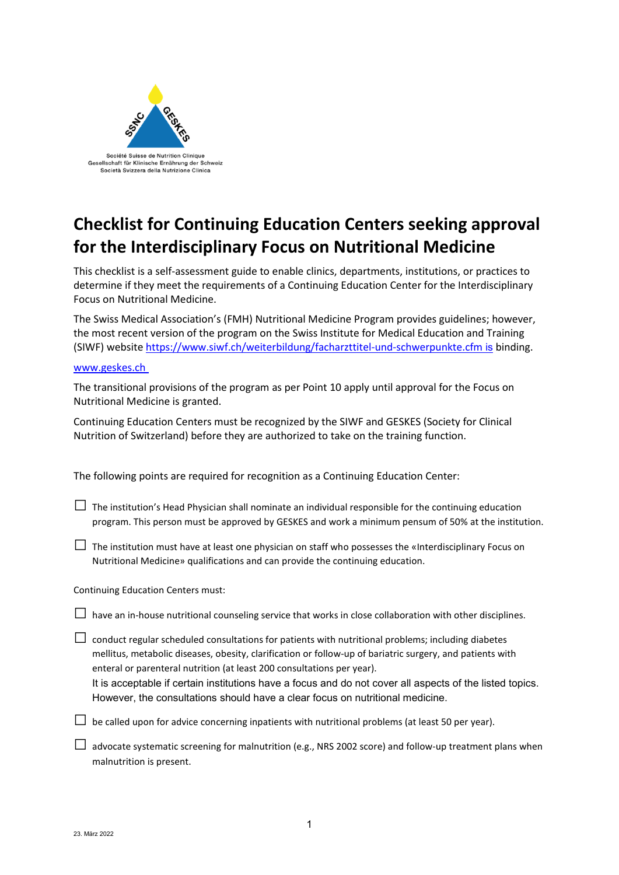

## **Checklist for Continuing Education Centers seeking approval for the Interdisciplinary Focus on Nutritional Medicine**

This checklist is a self-assessment guide to enable clinics, departments, institutions, or practices to determine if they meet the requirements of a Continuing Education Center for the Interdisciplinary Focus on Nutritional Medicine.

The Swiss Medical Association's (FMH) Nutritional Medicine Program provides guidelines; however, the most recent version of the program on the Swiss Institute for Medical Education and Training (SIWF) website https://www.siwf.ch/weiterbildung/facharzttitel-und-schwerpunkte.cfm is binding.

## [www.geskes.ch](http://www.geskes.ch/)

The transitional provisions of the program as per Point 10 apply until approval for the Focus on Nutritional Medicine is granted.

Continuing Education Centers must be recognized by the SIWF and GESKES (Society for Clinical Nutrition of Switzerland) before they are authorized to take on the training function.

The following points are required for recognition as a Continuing Education Center:

- $\Box$  The institution's Head Physician shall nominate an individual responsible for the continuing education program. This person must be approved by GESKES and work a minimum pensum of 50% at the institution.
- $\Box$  The institution must have at least one physician on staff who possesses the «Interdisciplinary Focus on Nutritional Medicine» qualifications and can provide the continuing education.

## Continuing Education Centers must:

- $\Box$  have an in-house nutritional counseling service that works in close collaboration with other disciplines.
- $\Box$  conduct regular scheduled consultations for patients with nutritional problems; including diabetes mellitus, metabolic diseases, obesity, clarification or follow-up of bariatric surgery, and patients with enteral or parenteral nutrition (at least 200 consultations per year).
	- It is acceptable if certain institutions have a focus and do not cover all aspects of the listed topics. However, the consultations should have a clear focus on nutritional medicine.
- $\square$  be called upon for advice concerning inpatients with nutritional problems (at least 50 per year).
- $\Box$  advocate systematic screening for malnutrition (e.g., NRS 2002 score) and follow-up treatment plans when malnutrition is present.